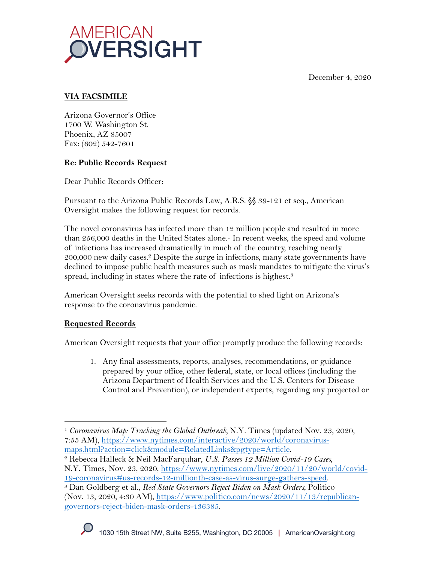December 4, 2020



# **VIA FACSIMILE**

Arizona Governor's Office 1700 W. Washington St. Phoenix, AZ 85007 Fax: (602) 542-7601

## **Re: Public Records Request**

Dear Public Records Officer:

Pursuant to the Arizona Public Records Law, A.R.S. §§ 39-121 et seq., American Oversight makes the following request for records.

The novel coronavirus has infected more than 12 million people and resulted in more than 256,000 deaths in the United States alone. <sup>1</sup> In recent weeks, the speed and volume of infections has increased dramatically in much of the country, reaching nearly 200,000 new daily cases.<sup>2</sup> Despite the surge in infections, many state governments have declined to impose public health measures such as mask mandates to mitigate the virus's spread, including in states where the rate of infections is highest.<sup>3</sup>

American Oversight seeks records with the potential to shed light on Arizona's response to the coronavirus pandemic.

## **Requested Records**

American Oversight requests that your office promptly produce the following records:

1. Any final assessments, reports, analyses, recommendations, or guidance prepared by your office, other federal, state, or local offices (including the Arizona Department of Health Services and the U.S. Centers for Disease Control and Prevention), or independent experts, regarding any projected or

<sup>1</sup> *Coronavirus Map: Tracking the Global Outbreak,* N.Y. Times (updated Nov. 23, 2020, 7:55 AM), https://www.nytimes.com/interactive/2020/world/coronavirus-

maps.html?action=click&module=RelatedLinks&pgtype=Article. 2 Rebecca Halleck & Neil MacFarquhar, *U.S. Passes 12 Million Covid-19 Cases,*  N.Y. Times, Nov. 23, 2020, https://www.nytimes.com/live/2020/11/20/world/covid-19-coronavirus#us-records-12-millionth-case-as-virus-surge-gathers-speed. 3 Dan Goldberg et al., *Red State Governors Reject Biden on Mask Orders,* Politico

<sup>(</sup>Nov. 13, 2020, 4:30 AM), https://www.politico.com/news/2020/11/13/republicangovernors-reject-biden-mask-orders-436385.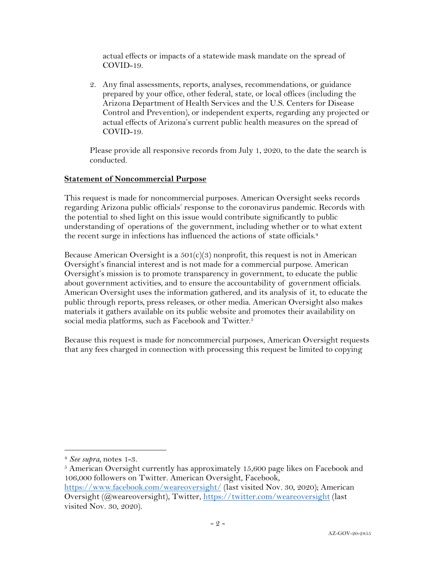actual effects or impacts of a statewide mask mandate on the spread of COVID-19.

2. Any final assessments, reports, analyses, recommendations, or guidance prepared by your office, other federal, state, or local offices (including the Arizona Department of Health Services and the U.S. Centers for Disease Control and Prevention), or independent experts, regarding any projected or actual effects of Arizona's current public health measures on the spread of COVID-19.

Please provide all responsive records from July 1, 2020, to the date the search is conducted.

### **Statement of Noncommercial Purpose**

This request is made for noncommercial purposes. American Oversight seeks records regarding Arizona public officials' response to the coronavirus pandemic. Records with the potential to shed light on this issue would contribute significantly to public understanding of operations of the government, including whether or to what extent the recent surge in infections has influenced the actions of state officials.<sup>4</sup>

Because American Oversight is a 501(c)(3) nonprofit, this request is not in American Oversight's financial interest and is not made for a commercial purpose. American Oversight's mission is to promote transparency in government, to educate the public about government activities, and to ensure the accountability of government officials. American Oversight uses the information gathered, and its analysis of it, to educate the public through reports, press releases, or other media. American Oversight also makes materials it gathers available on its public website and promotes their availability on social media platforms, such as Facebook and Twitter.<sup>5</sup>

Because this request is made for noncommercial purposes, American Oversight requests that any fees charged in connection with processing this request be limited to copying

<sup>4</sup> *See supra,* notes 1-3.

 $5$  American Oversight currently has approximately 15,600 page likes on Facebook and 106,000 followers on Twitter. American Oversight, Facebook, https://www.facebook.com/weareoversight/ (last visited Nov. 30, 2020); American

Oversight (@weareoversight), Twitter, https://twitter.com/weareoversight (last visited Nov. 30, 2020).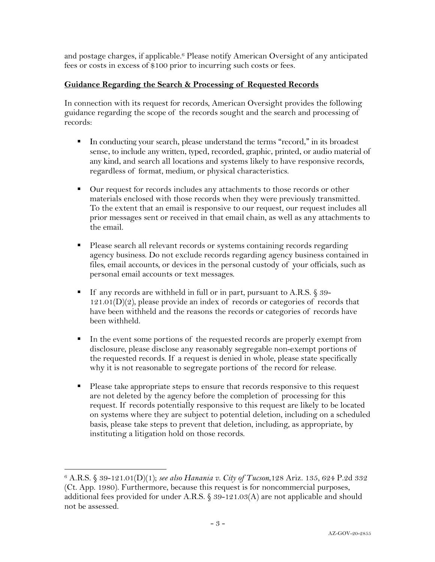and postage charges, if applicable.<sup>6</sup> Please notify American Oversight of any anticipated fees or costs in excess of \$100 prior to incurring such costs or fees.

### **Guidance Regarding the Search & Processing of Requested Records**

In connection with its request for records, American Oversight provides the following guidance regarding the scope of the records sought and the search and processing of records:

- In conducting your search, please understand the terms "record," in its broadest sense, to include any written, typed, recorded, graphic, printed, or audio material of any kind, and search all locations and systems likely to have responsive records, regardless of format, medium, or physical characteristics.
- Our request for records includes any attachments to those records or other materials enclosed with those records when they were previously transmitted. To the extent that an email is responsive to our request, our request includes all prior messages sent or received in that email chain, as well as any attachments to the email.
- Please search all relevant records or systems containing records regarding agency business. Do not exclude records regarding agency business contained in files, email accounts, or devices in the personal custody of your officials, such as personal email accounts or text messages.
- If any records are withheld in full or in part, pursuant to A.R.S. § 39- $121.01(D)(2)$ , please provide an index of records or categories of records that have been withheld and the reasons the records or categories of records have been withheld.
- In the event some portions of the requested records are properly exempt from disclosure, please disclose any reasonably segregable non-exempt portions of the requested records. If a request is denied in whole, please state specifically why it is not reasonable to segregate portions of the record for release.
- Please take appropriate steps to ensure that records responsive to this request are not deleted by the agency before the completion of processing for this request. If records potentially responsive to this request are likely to be located on systems where they are subject to potential deletion, including on a scheduled basis, please take steps to prevent that deletion, including, as appropriate, by instituting a litigation hold on those records.

<sup>6</sup> A.R.S. § 39-121.01(D)(1); *see also Hanania v. City of Tucson*,128 Ariz. 135, 624 P.2d 332 (Ct. App. 1980). Furthermore, because this request is for noncommercial purposes, additional fees provided for under A.R.S. § 39-121.03(A) are not applicable and should not be assessed.